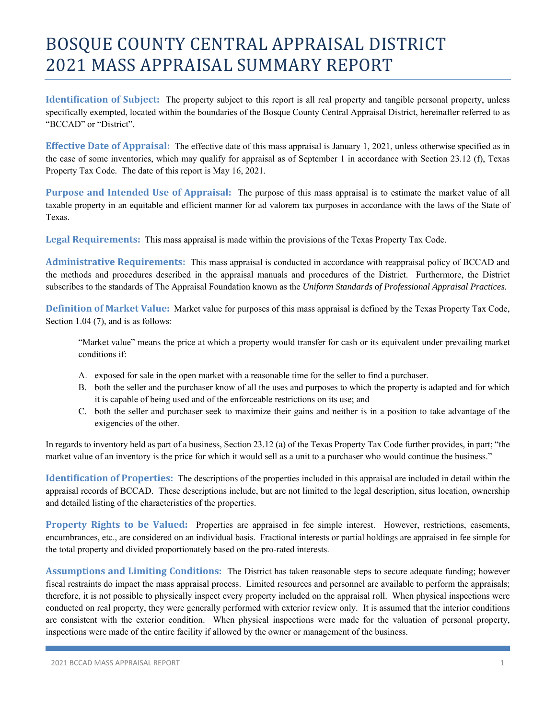## BOSQUE COUNTY CENTRAL APPRAISAL DISTRICT 2021 MASS APPRAISAL SUMMARY REPORT

**Identification of Subject:** The property subject to this report is all real property and tangible personal property, unless specifically exempted, located within the boundaries of the Bosque County Central Appraisal District, hereinafter referred to as "BCCAD" or "District".

**Effective Date of Appraisal:** The effective date of this mass appraisal is January 1, 2021, unless otherwise specified as in the case of some inventories, which may qualify for appraisal as of September 1 in accordance with Section 23.12 (f), Texas Property Tax Code. The date of this report is May 16, 2021.

**Purpose and Intended Use of Appraisal:** The purpose of this mass appraisal is to estimate the market value of all taxable property in an equitable and efficient manner for ad valorem tax purposes in accordance with the laws of the State of Texas.

**Legal Requirements:** This mass appraisal is made within the provisions of the Texas Property Tax Code.

**Administrative Requirements:** This mass appraisal is conducted in accordance with reappraisal policy of BCCAD and the methods and procedures described in the appraisal manuals and procedures of the District. Furthermore, the District subscribes to the standards of The Appraisal Foundation known as the *Uniform Standards of Professional Appraisal Practices.* 

**Definition of Market Value:** Market value for purposes of this mass appraisal is defined by the Texas Property Tax Code, Section 1.04 (7), and is as follows:

"Market value" means the price at which a property would transfer for cash or its equivalent under prevailing market conditions if:

- A. exposed for sale in the open market with a reasonable time for the seller to find a purchaser.
- B. both the seller and the purchaser know of all the uses and purposes to which the property is adapted and for which it is capable of being used and of the enforceable restrictions on its use; and
- C. both the seller and purchaser seek to maximize their gains and neither is in a position to take advantage of the exigencies of the other.

In regards to inventory held as part of a business, Section 23.12 (a) of the Texas Property Tax Code further provides, in part; "the market value of an inventory is the price for which it would sell as a unit to a purchaser who would continue the business."

**Identification of Properties:** The descriptions of the properties included in this appraisal are included in detail within the appraisal records of BCCAD. These descriptions include, but are not limited to the legal description, situs location, ownership and detailed listing of the characteristics of the properties.

**Property Rights to be Valued:** Properties are appraised in fee simple interest. However, restrictions, easements, encumbrances, etc., are considered on an individual basis. Fractional interests or partial holdings are appraised in fee simple for the total property and divided proportionately based on the pro-rated interests.

**Assumptions and Limiting Conditions:** The District has taken reasonable steps to secure adequate funding; however fiscal restraints do impact the mass appraisal process. Limited resources and personnel are available to perform the appraisals; therefore, it is not possible to physically inspect every property included on the appraisal roll. When physical inspections were conducted on real property, they were generally performed with exterior review only. It is assumed that the interior conditions are consistent with the exterior condition. When physical inspections were made for the valuation of personal property, inspections were made of the entire facility if allowed by the owner or management of the business.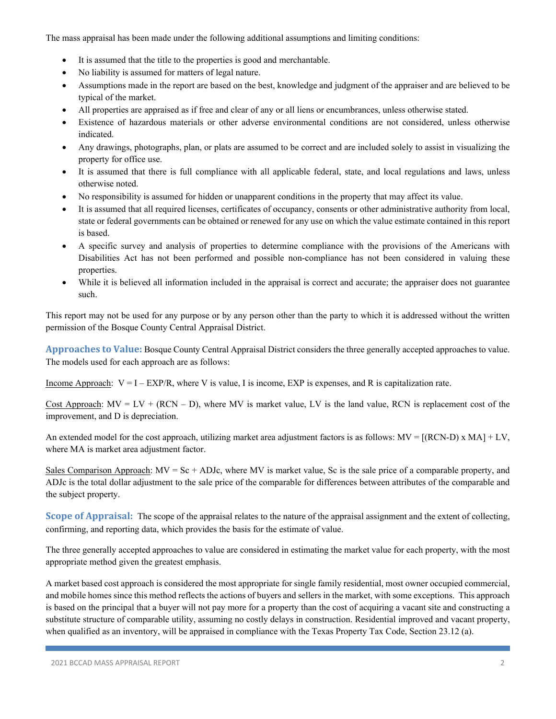The mass appraisal has been made under the following additional assumptions and limiting conditions:

- It is assumed that the title to the properties is good and merchantable.
- No liability is assumed for matters of legal nature.
- Assumptions made in the report are based on the best, knowledge and judgment of the appraiser and are believed to be typical of the market.
- All properties are appraised as if free and clear of any or all liens or encumbrances, unless otherwise stated.
- Existence of hazardous materials or other adverse environmental conditions are not considered, unless otherwise indicated.
- Any drawings, photographs, plan, or plats are assumed to be correct and are included solely to assist in visualizing the property for office use.
- It is assumed that there is full compliance with all applicable federal, state, and local regulations and laws, unless otherwise noted.
- No responsibility is assumed for hidden or unapparent conditions in the property that may affect its value.
- It is assumed that all required licenses, certificates of occupancy, consents or other administrative authority from local, state or federal governments can be obtained or renewed for any use on which the value estimate contained in this report is based.
- A specific survey and analysis of properties to determine compliance with the provisions of the Americans with Disabilities Act has not been performed and possible non-compliance has not been considered in valuing these properties.
- While it is believed all information included in the appraisal is correct and accurate; the appraiser does not guarantee such.

This report may not be used for any purpose or by any person other than the party to which it is addressed without the written permission of the Bosque County Central Appraisal District.

**Approaches to Value:** Bosque County Central Appraisal District considers the three generally accepted approaches to value. The models used for each approach are as follows:

Income Approach:  $V = I - EXP/R$ , where V is value, I is income, EXP is expenses, and R is capitalization rate.

Cost Approach:  $MV = LV + (RCN - D)$ , where MV is market value, LV is the land value, RCN is replacement cost of the improvement, and D is depreciation.

An extended model for the cost approach, utilizing market area adjustment factors is as follows:  $MV = [(RCN-D) \times MA] + LV$ , where MA is market area adjustment factor.

Sales Comparison Approach:  $MV = Sc + ADJc$ , where MV is market value, Sc is the sale price of a comparable property, and ADJc is the total dollar adjustment to the sale price of the comparable for differences between attributes of the comparable and the subject property.

**Scope of Appraisal:** The scope of the appraisal relates to the nature of the appraisal assignment and the extent of collecting, confirming, and reporting data, which provides the basis for the estimate of value.

The three generally accepted approaches to value are considered in estimating the market value for each property, with the most appropriate method given the greatest emphasis.

A market based cost approach is considered the most appropriate for single family residential, most owner occupied commercial, and mobile homes since this method reflects the actions of buyers and sellers in the market, with some exceptions. This approach is based on the principal that a buyer will not pay more for a property than the cost of acquiring a vacant site and constructing a substitute structure of comparable utility, assuming no costly delays in construction. Residential improved and vacant property, when qualified as an inventory, will be appraised in compliance with the Texas Property Tax Code, Section 23.12 (a).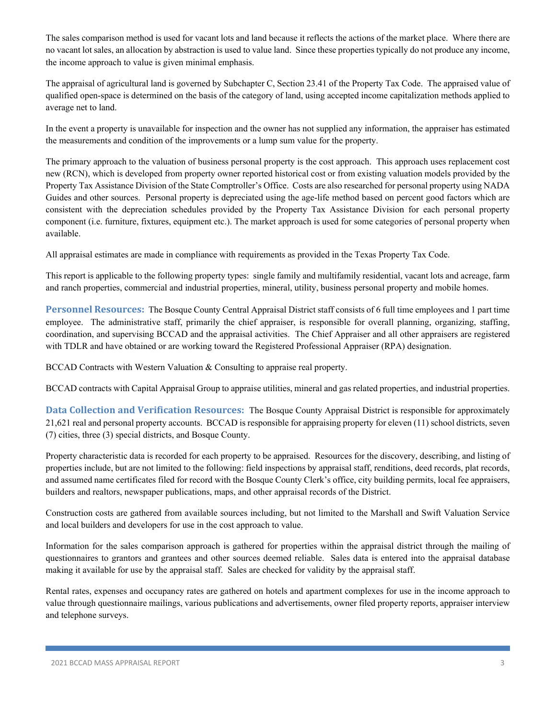The sales comparison method is used for vacant lots and land because it reflects the actions of the market place. Where there are no vacant lot sales, an allocation by abstraction is used to value land. Since these properties typically do not produce any income, the income approach to value is given minimal emphasis.

The appraisal of agricultural land is governed by Subchapter C, Section 23.41 of the Property Tax Code. The appraised value of qualified open-space is determined on the basis of the category of land, using accepted income capitalization methods applied to average net to land.

In the event a property is unavailable for inspection and the owner has not supplied any information, the appraiser has estimated the measurements and condition of the improvements or a lump sum value for the property.

The primary approach to the valuation of business personal property is the cost approach. This approach uses replacement cost new (RCN), which is developed from property owner reported historical cost or from existing valuation models provided by the Property Tax Assistance Division of the State Comptroller's Office. Costs are also researched for personal property using NADA Guides and other sources. Personal property is depreciated using the age-life method based on percent good factors which are consistent with the depreciation schedules provided by the Property Tax Assistance Division for each personal property component (i.e. furniture, fixtures, equipment etc.). The market approach is used for some categories of personal property when available.

All appraisal estimates are made in compliance with requirements as provided in the Texas Property Tax Code.

This report is applicable to the following property types: single family and multifamily residential, vacant lots and acreage, farm and ranch properties, commercial and industrial properties, mineral, utility, business personal property and mobile homes.

**Personnel Resources:** The Bosque County Central Appraisal District staff consists of 6 full time employees and 1 part time employee. The administrative staff, primarily the chief appraiser, is responsible for overall planning, organizing, staffing, coordination, and supervising BCCAD and the appraisal activities. The Chief Appraiser and all other appraisers are registered with TDLR and have obtained or are working toward the Registered Professional Appraiser (RPA) designation.

BCCAD Contracts with Western Valuation & Consulting to appraise real property.

BCCAD contracts with Capital Appraisal Group to appraise utilities, mineral and gas related properties, and industrial properties.

**Data Collection and Verification Resources:** The Bosque County Appraisal District is responsible for approximately 21,621 real and personal property accounts. BCCAD is responsible for appraising property for eleven (11) school districts, seven (7) cities, three (3) special districts, and Bosque County.

Property characteristic data is recorded for each property to be appraised. Resources for the discovery, describing, and listing of properties include, but are not limited to the following: field inspections by appraisal staff, renditions, deed records, plat records, and assumed name certificates filed for record with the Bosque County Clerk's office, city building permits, local fee appraisers, builders and realtors, newspaper publications, maps, and other appraisal records of the District.

Construction costs are gathered from available sources including, but not limited to the Marshall and Swift Valuation Service and local builders and developers for use in the cost approach to value.

Information for the sales comparison approach is gathered for properties within the appraisal district through the mailing of questionnaires to grantors and grantees and other sources deemed reliable. Sales data is entered into the appraisal database making it available for use by the appraisal staff. Sales are checked for validity by the appraisal staff.

Rental rates, expenses and occupancy rates are gathered on hotels and apartment complexes for use in the income approach to value through questionnaire mailings, various publications and advertisements, owner filed property reports, appraiser interview and telephone surveys.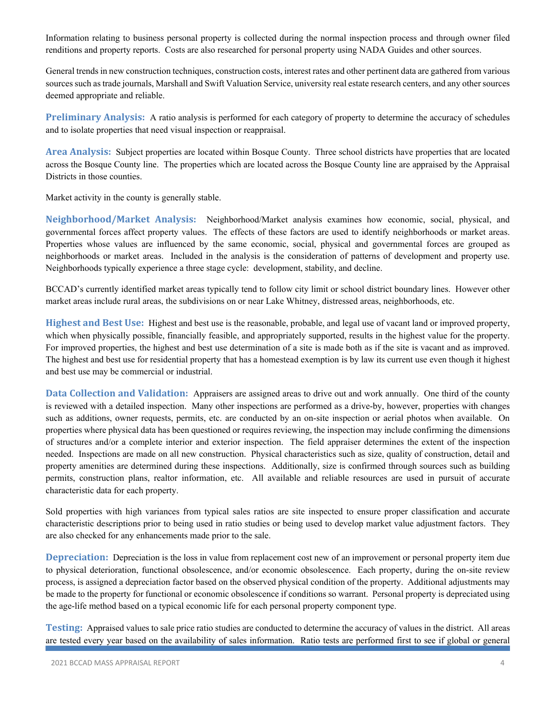Information relating to business personal property is collected during the normal inspection process and through owner filed renditions and property reports. Costs are also researched for personal property using NADA Guides and other sources.

General trends in new construction techniques, construction costs, interest rates and other pertinent data are gathered from various sources such as trade journals, Marshall and Swift Valuation Service, university real estate research centers, and any other sources deemed appropriate and reliable.

**Preliminary Analysis:** A ratio analysis is performed for each category of property to determine the accuracy of schedules and to isolate properties that need visual inspection or reappraisal.

**Area Analysis:** Subject properties are located within Bosque County. Three school districts have properties that are located across the Bosque County line. The properties which are located across the Bosque County line are appraised by the Appraisal Districts in those counties.

Market activity in the county is generally stable.

**Neighborhood/Market Analysis:** Neighborhood/Market analysis examines how economic, social, physical, and governmental forces affect property values. The effects of these factors are used to identify neighborhoods or market areas. Properties whose values are influenced by the same economic, social, physical and governmental forces are grouped as neighborhoods or market areas. Included in the analysis is the consideration of patterns of development and property use. Neighborhoods typically experience a three stage cycle: development, stability, and decline.

BCCAD's currently identified market areas typically tend to follow city limit or school district boundary lines. However other market areas include rural areas, the subdivisions on or near Lake Whitney, distressed areas, neighborhoods, etc.

**Highest and Best Use:** Highest and best use is the reasonable, probable, and legal use of vacant land or improved property, which when physically possible, financially feasible, and appropriately supported, results in the highest value for the property. For improved properties, the highest and best use determination of a site is made both as if the site is vacant and as improved. The highest and best use for residential property that has a homestead exemption is by law its current use even though it highest and best use may be commercial or industrial.

**Data Collection and Validation:** Appraisers are assigned areas to drive out and work annually. One third of the county is reviewed with a detailed inspection. Many other inspections are performed as a drive-by, however, properties with changes such as additions, owner requests, permits, etc. are conducted by an on-site inspection or aerial photos when available. On properties where physical data has been questioned or requires reviewing, the inspection may include confirming the dimensions of structures and/or a complete interior and exterior inspection. The field appraiser determines the extent of the inspection needed. Inspections are made on all new construction. Physical characteristics such as size, quality of construction, detail and property amenities are determined during these inspections. Additionally, size is confirmed through sources such as building permits, construction plans, realtor information, etc. All available and reliable resources are used in pursuit of accurate characteristic data for each property.

Sold properties with high variances from typical sales ratios are site inspected to ensure proper classification and accurate characteristic descriptions prior to being used in ratio studies or being used to develop market value adjustment factors. They are also checked for any enhancements made prior to the sale.

**Depreciation:** Depreciation is the loss in value from replacement cost new of an improvement or personal property item due to physical deterioration, functional obsolescence, and/or economic obsolescence. Each property, during the on-site review process, is assigned a depreciation factor based on the observed physical condition of the property. Additional adjustments may be made to the property for functional or economic obsolescence if conditions so warrant. Personal property is depreciated using the age-life method based on a typical economic life for each personal property component type.

**Testing:** Appraised values to sale price ratio studies are conducted to determine the accuracy of values in the district. All areas are tested every year based on the availability of sales information. Ratio tests are performed first to see if global or general